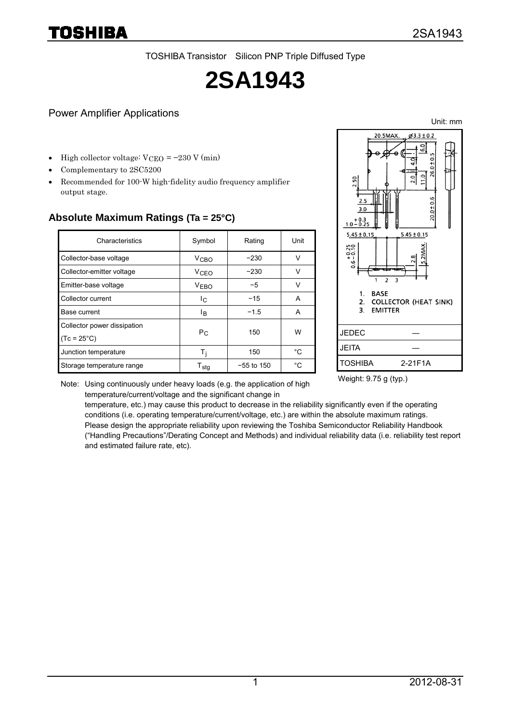TOSHIBA Transistor Silicon PNP Triple Diffused Type

# **2SA1943**

#### Power Amplifier Applications

High collector voltage:  $V_{\text{CEO}} = -230 \text{ V (min)}$ 

- Complementary to 2SC5200
- Recommended for 100-W high-fidelity audio frequency amplifier output stage.

| Characteristics                                     | Symbol                      | Rating       | Unit |
|-----------------------------------------------------|-----------------------------|--------------|------|
| Collector-base voltage                              | <b>V<sub>CBO</sub></b>      | $-230$       | V    |
| Collector-emitter voltage                           | <b>V<sub>CEO</sub></b>      | $-230$       | v    |
| Emitter-base voltage                                | VFRO                        | $-5$         | V    |
| Collector current                                   | Ic.                         | $-15$        | A    |
| Base current                                        | lв.                         | $-1.5$       | A    |
| Collector power dissipation<br>$(7c = 25^{\circ}C)$ | $P_{C}$                     | 150          | W    |
| Junction temperature                                | Τi                          | 150          | °C   |
| Storage temperature range                           | $\mathsf{T}_{\mathsf{sta}}$ | $-55$ to 150 | °C   |

### **Absolute Maximum Ratings (Ta = 25°C)**



Note: Using continuously under heavy loads (e.g. the application of high temperature/current/voltage and the significant change in

Weight: 9.75 g (typ.)

temperature, etc.) may cause this product to decrease in the reliability significantly even if the operating conditions (i.e. operating temperature/current/voltage, etc.) are within the absolute maximum ratings. Please design the appropriate reliability upon reviewing the Toshiba Semiconductor Reliability Handbook ("Handling Precautions"/Derating Concept and Methods) and individual reliability data (i.e. reliability test report and estimated failure rate, etc).

Unit: mm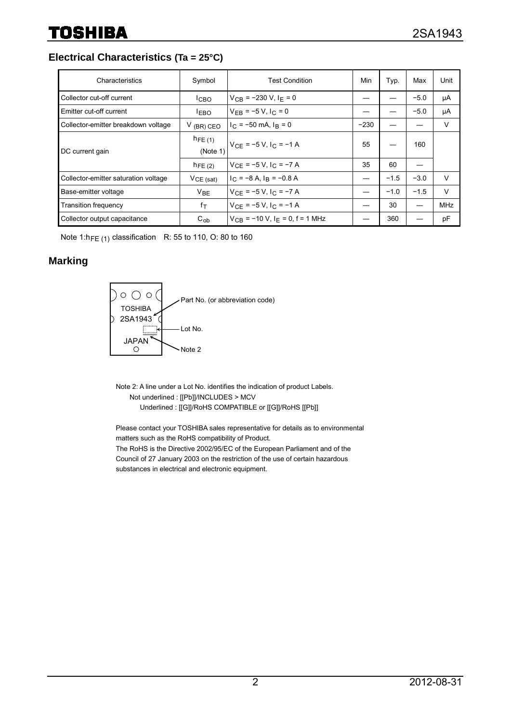**Electrical Characteristics (Ta = 25°C)**

| Characteristics                      | Symbol                  | <b>Test Condition</b>                           | Min    | Typ.   | Max    | Unit       |
|--------------------------------------|-------------------------|-------------------------------------------------|--------|--------|--------|------------|
| Collector cut-off current            | <sup>I</sup> CBO        | $V_{CB}$ = -230 V, I <sub>F</sub> = 0           |        |        | $-5.0$ | μA         |
| Emitter cut-off current              | <b>LEBO</b>             | $V_{FB} = -5 V, I_C = 0$                        |        |        | $-5.0$ | μA         |
| Collector-emitter breakdown voltage  | $V$ (BR) CEO            | $I_C = -50$ mA, $I_R = 0$                       | $-230$ |        |        | V          |
| DC current gain                      | $h_{FE(1)}$<br>(Note 1) | $V_{CE}$ = -5 V, I <sub>C</sub> = -1 A          | 55     |        | 160    |            |
|                                      | $h_{\text{FE (2)}}$     | $V_{CF} = -5 V, I_C = -7 A$                     | 35     | 60     |        |            |
| Collector-emitter saturation voltage | $VCE$ (sat)             | $I_C = -8$ A, $I_R = -0.8$ A                    |        | $-1.5$ | $-3.0$ | V          |
| Base-emitter voltage                 | <b>V<sub>BE</sub></b>   | $V_{CF} = -5 V, I_C = -7 A$                     |        | $-1.0$ | $-1.5$ | $\vee$     |
| <b>Transition frequency</b>          | $f_{\mathsf{T}}$        | $V_{CF} = -5 V, I_C = -1 A$                     |        | 30     |        | <b>MHz</b> |
| Collector output capacitance         | $C_{ob}$                | $V_{CB}$ = -10 V, I <sub>F</sub> = 0, f = 1 MHz |        | 360    |        | pF         |

Note 1:h<sub>FE (1)</sub> classification R: 55 to 110, O: 80 to 160

#### **Marking**



Note 2: A line under a Lot No. identifies the indication of product Labels. Not underlined : [[Pb]]/INCLUDES > MCV Underlined : [[G]]/RoHS COMPATIBLE or [[G]]/RoHS [[Pb]]

Please contact your TOSHIBA sales representative for details as to environmental matters such as the RoHS compatibility of Product. The RoHS is the Directive 2002/95/EC of the European Parliament and of the Council of 27 January 2003 on the restriction of the use of certain hazardous substances in electrical and electronic equipment.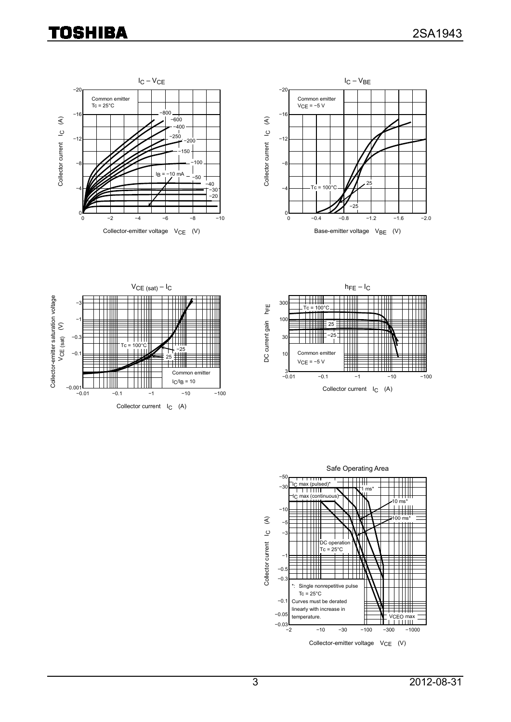# **TOSHIBA**









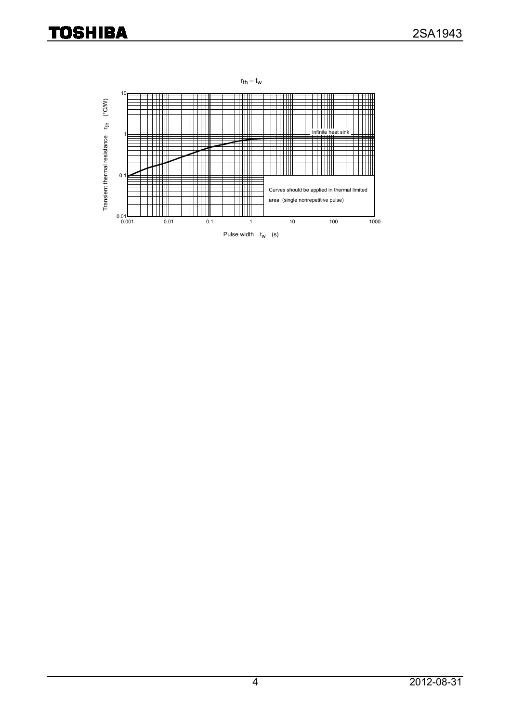